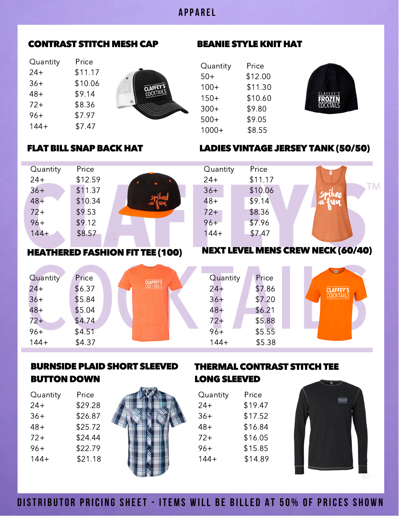## **A P P A R E L**

### CONTRAST STITCH MESH CAP BEANIE STYLE KNIT HAT

Quantity Price 24+ \$11.17 36+ \$10.06 48+ \$9.14 72+ \$8.36 96+ \$7.97 144+ \$7.47



| Price   |
|---------|
| \$12.00 |
| \$11.30 |
| \$10.60 |
| \$9.80  |
| \$9.05  |
| \$8.55  |
|         |

Quantity Price 24+ \$11.17 36+ \$10.06 48+ \$9.14 72+ \$8.36  $96 +$  \$7.96 144+ \$7.47



### FLAT BILL SNAP BACK HAT LADIES VINTAGE JERSEY TANK (50/50)

| Quantity | Price                          |  |
|----------|--------------------------------|--|
| $24+$    | \$12.59                        |  |
| $36+$    | \$11.37                        |  |
| $48 +$   | \$10.34                        |  |
| $72+$    | \$9.53                         |  |
| $96+$    | \$9.12                         |  |
| $144 +$  | \$8.57<br>CARRIBVER<br>图 117/6 |  |
|          | <b>TERROTIA</b>                |  |

#### HEATHERED FASHION FIT TEE (100)

| Quantity | Price  | <b>CLAFFEY'S</b> |
|----------|--------|------------------|
| $24 +$   | \$6.37 | <b>COCKTAILS</b> |
| $36+$    | \$5.84 |                  |
| $48+$    | \$5.04 |                  |
| $72+$    | \$4.74 |                  |
| $96+$    | \$4.51 |                  |
| $144+$   | \$4.37 |                  |
|          |        |                  |

# NEXT LEVEL MENS CREW NECK (60/40)

| Quantity | Price  |  |
|----------|--------|--|
| $24+$    | \$7.86 |  |
| $36+$    | \$7.20 |  |
| $48+$    | \$6.21 |  |
| $72+$    | \$5.88 |  |
| $96+$    | \$5.55 |  |
| $144+$   | \$5.38 |  |
|          |        |  |



# BURNSIDE PLAID SHORT SLEEVED BUTTON DOWN

| Quantity | Price   |
|----------|---------|
| 24+      | \$29.28 |
| 36+      | \$26.87 |
| 48+      | \$25.72 |
| 72+      | \$24.44 |
| 96+      | \$22.79 |
| 144+     | \$21.18 |
|          |         |



# THERMAL CONTRAST STITCH TEE LONG SLEEVED

| Quantity | Price   |
|----------|---------|
| 24+      | \$19.47 |
| 36+      | \$17.52 |
| 48+      | \$16.84 |
| $72+$    | \$16.05 |
| 96+      | \$15.85 |
| $144+$   | \$14.89 |
|          |         |



# **DISTRIBUTOR PRICING SHEET - ITEMS WILL BE BILLED AT 50% OF PRICES SHOWN**